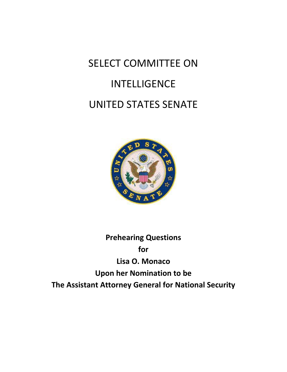# SELECT COMMITTEE ON INTELLIGENCE UNITED STATES SENATE



**Prehearing Questions for Lisa O. Monaco Upon her Nomination to be The Assistant Attorney General for National Security**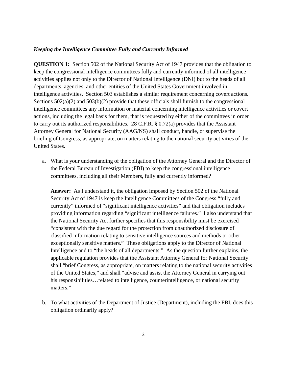# *Keeping the Intelligence Committee Fully and Currently Informed*

**QUESTION 1:** Section 502 of the National Security Act of 1947 provides that the obligation to keep the congressional intelligence committees fully and currently informed of all intelligence activities applies not only to the Director of National Intelligence (DNI) but to the heads of all departments, agencies, and other entities of the United States Government involved in intelligence activities. Section 503 establishes a similar requirement concerning covert actions. Sections  $502(a)(2)$  and  $503(b)(2)$  provide that these officials shall furnish to the congressional intelligence committees any information or material concerning intelligence activities or covert actions, including the legal basis for them, that is requested by either of the committees in order to carry out its authorized responsibilities. 28 C.F.R. § 0.72(a) provides that the Assistant Attorney General for National Security (AAG/NS) shall conduct, handle, or supervise the briefing of Congress, as appropriate, on matters relating to the national security activities of the United States.

a. What is your understanding of the obligation of the Attorney General and the Director of the Federal Bureau of Investigation (FBI) to keep the congressional intelligence committees, including all their Members, fully and currently informed?

**Answer:** As I understand it, the obligation imposed by Section 502 of the National Security Act of 1947 is keep the Intelligence Committees of the Congress "fully and currently" informed of "significant intelligence activities" and that obligation includes providing information regarding "significant intelligence failures." I also understand that the National Security Act further specifies that this responsibility must be exercised "consistent with the due regard for the protection from unauthorized disclosure of classified information relating to sensitive intelligence sources and methods or other exceptionally sensitive matters." These obligations apply to the Director of National Intelligence and to "the heads of all departments." As the question further explains, the applicable regulation provides that the Assistant Attorney General for National Security shall "brief Congress, as appropriate, on matters relating to the national security activities of the United States," and shall "advise and assist the Attorney General in carrying out his responsibilities...related to intelligence, counterintelligence, or national security matters."

b. To what activities of the Department of Justice (Department), including the FBI, does this obligation ordinarily apply?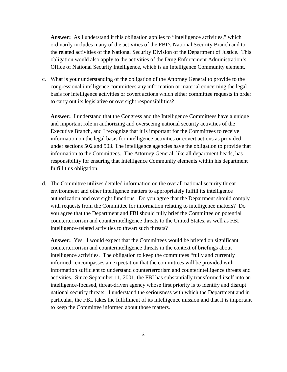**Answer:** As I understand it this obligation applies to "intelligence activities," which ordinarily includes many of the activities of the FBI's National Security Branch and to the related activities of the National Security Division of the Department of Justice. This obligation would also apply to the activities of the Drug Enforcement Administration's Office of National Security Intelligence, which is an Intelligence Community element.

c. What is your understanding of the obligation of the Attorney General to provide to the congressional intelligence committees any information or material concerning the legal basis for intelligence activities or covert actions which either committee requests in order to carry out its legislative or oversight responsibilities?

**Answer:** I understand that the Congress and the Intelligence Committees have a unique and important role in authorizing and overseeing national security activities of the Executive Branch, and I recognize that it is important for the Committees to receive information on the legal basis for intelligence activities or covert actions as provided under sections 502 and 503. The intelligence agencies have the obligation to provide that information to the Committees. The Attorney General, like all department heads, has responsibility for ensuring that Intelligence Community elements within his department fulfill this obligation.

d. The Committee utilizes detailed information on the overall national security threat environment and other intelligence matters to appropriately fulfill its intelligence authorization and oversight functions. Do you agree that the Department should comply with requests from the Committee for information relating to intelligence matters? Do you agree that the Department and FBI should fully brief the Committee on potential counterterrorism and counterintelligence threats to the United States, as well as FBI intelligence-related activities to thwart such threats?

Answer: Yes. I would expect that the Committees would be briefed on significant counterterrorism and counterintelligence threats in the context of briefings about intelligence activities. The obligation to keep the committees "fully and currently informed" encompasses an expectation that the committees will be provided with information sufficient to understand counterterrorism and counterintelligence threats and activities. Since September 11, 2001, the FBI has substantially transformed itself into an intelligence-focused, threat-driven agency whose first priority is to identify and disrupt national security threats. I understand the seriousness with which the Department and in particular, the FBI, takes the fulfillment of its intelligence mission and that it is important to keep the Committee informed about those matters.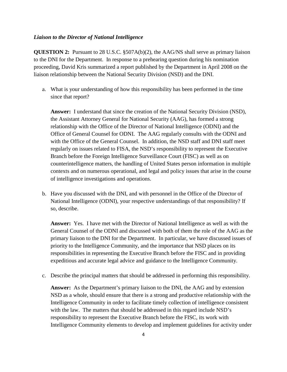## *Liaison to the Director of National Intelligence*

**QUESTION 2:** Pursuant to 28 U.S.C. §507A(b)(2), the AAG/NS shall serve as primary liaison to the DNI for the Department. In response to a prehearing question during his nomination proceeding, David Kris summarized a report published by the Department in April 2008 on the liaison relationship between the National Security Division (NSD) and the DNI.

a. What is your understanding of how this responsibility has been performed in the time since that report?

**Answer:** I understand that since the creation of the National Security Division (NSD), the Assistant Attorney General for National Security (AAG), has formed a strong relationship with the Office of the Director of National Intelligence (ODNI) and the Office of General Counsel for ODNI. The AAG regularly consults with the ODNI and with the Office of the General Counsel. In addition, the NSD staff and DNI staff meet regularly on issues related to FISA, the NSD's responsibility to represent the Executive Branch before the Foreign Intelligence Surveillance Court (FISC) as well as on counterintelligence matters, the handling of United States person information in multiple contexts and on numerous operational, and legal and policy issues that arise in the course of intelligence investigations and operations.

b. Have you discussed with the DNI, and with personnel in the Office of the Director of National Intelligence (ODNI), your respective understandings of that responsibility? If so, describe.

**Answer:** Yes. I have met with the Director of National Intelligence as well as with the General Counsel of the ODNI and discussed with both of them the role of the AAG as the primary liaison to the DNI for the Department. In particular, we have discussed issues of priority to the Intelligence Community, and the importance that NSD places on its responsibilities in representing the Executive Branch before the FISC and in providing expeditious and accurate legal advice and guidance to the Intelligence Community.

c. Describe the principal matters that should be addressed in performing this responsibility.

**Answer:** As the Department's primary liaison to the DNI, the AAG and by extension NSD as a whole, should ensure that there is a strong and productive relationship with the Intelligence Community in order to facilitate timely collection of intelligence consistent with the law. The matters that should be addressed in this regard include NSD's responsibility to represent the Executive Branch before the FISC, its work with Intelligence Community elements to develop and implement guidelines for activity under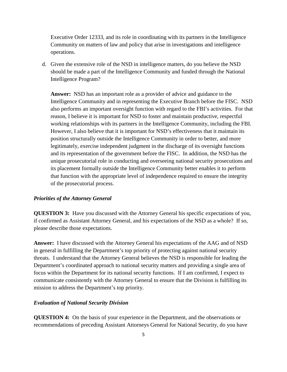Executive Order 12333, and its role in coordinating with its partners in the Intelligence Community on matters of law and policy that arise in investigations and intelligence operations.

d. Given the extensive role of the NSD in intelligence matters, do you believe the NSD should be made a part of the Intelligence Community and funded through the National Intelligence Program?

**Answer:** NSD has an important role as a provider of advice and guidance to the Intelligence Community and in representing the Executive Branch before the FISC. NSD also performs an important oversight function with regard to the FBI's activities. For that reason, I believe it is important for NSD to foster and maintain productive, respectful working relationships with its partners in the Intelligence Community, including the FBI. However, I also believe that it is important for NSD's effectiveness that it maintain its position structurally outside the Intelligence Community in order to better, and more legitimately, exercise independent judgment in the discharge of its oversight functions and its representation of the government before the FISC. In addition, the NSD has the unique prosecutorial role in conducting and overseeing national security prosecutions and its placement formally outside the Intelligence Community better enables it to perform that function with the appropriate level of independence required to ensure the integrity of the prosecutorial process.

## *Priorities of the Attorney General*

**QUESTION 3:** Have you discussed with the Attorney General his specific expectations of you, if confirmed as Assistant Attorney General, and his expectations of the NSD as a whole? If so, please describe those expectations.

**Answer:** I have discussed with the Attorney General his expectations of the AAG and of NSD in general in fulfilling the Department's top priority of protecting against national security threats. I understand that the Attorney General believes the NSD is responsible for leading the Department's coordinated approach to national security matters and providing a single area of focus within the Department for its national security functions. If I am confirmed, I expect to communicate consistently with the Attorney General to ensure that the Division is fulfilling its mission to address the Department's top priority.

# *Evaluation of National Security Division*

**QUESTION 4:** On the basis of your experience in the Department, and the observations or recommendations of preceding Assistant Attorneys General for National Security, do you have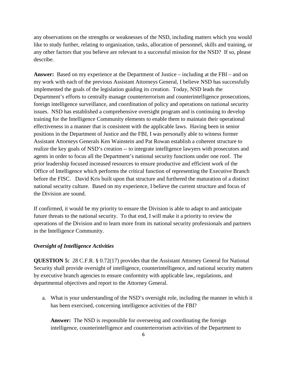any observations on the strengths or weaknesses of the NSD, including matters which you would like to study further, relating to organization, tasks, allocation of personnel, skills and training, or any other factors that you believe are relevant to a successful mission for the NSD? If so, please describe.

**Answer:** Based on my experience at the Department of Justice – including at the FBI – and on my work with each of the previous Assistant Attorneys General, I believe NSD has successfully implemented the goals of the legislation guiding its creation. Today, NSD leads the Department's efforts to centrally manage counterterrorism and counterintelligence prosecutions, foreign intelligence surveillance, and coordination of policy and operations on national security issues. NSD has established a comprehensive oversight program and is continuing to develop training for the Intelligence Community elements to enable them to maintain their operational effectiveness in a manner that is consistent with the applicable laws. Having been in senior positions in the Department of Justice and the FBI, I was personally able to witness former Assistant Attorneys Generals Ken Wainstein and Pat Rowan establish a coherent structure to realize the key goals of NSD's creation -- to integrate intelligence lawyers with prosecutors and agents in order to focus all the Department's national security functions under one roof. The prior leadership focused increased resources to ensure productive and efficient work of the Office of Intelligence which performs the critical function of representing the Executive Branch before the FISC. David Kris built upon that structure and furthered the maturation of a distinct national security culture. Based on my experience, I believe the current structure and focus of the Division are sound.

If confirmed, it would be my priority to ensure the Division is able to adapt to and anticipate future threats to the national security. To that end, I will make it a priority to review the operations of the Division and to learn more from its national security professionals and partners in the Intelligence Community.

## *Oversight of Intelligence Activities*

**QUESTION 5:** 28 C.F.R. § 0.72(17) provides that the Assistant Attorney General for National Security shall provide oversight of intelligence, counterintelligence, and national security matters by executive branch agencies to ensure conformity with applicable law, regulations, and departmental objectives and report to the Attorney General.

a. What is your understanding of the NSD's oversight role, including the manner in which it has been exercised, concerning intelligence activities of the FBI?

**Answer:** The NSD is responsible for overseeing and coordinating the foreign intelligence, counterintelligence and counterterrorism activities of the Department to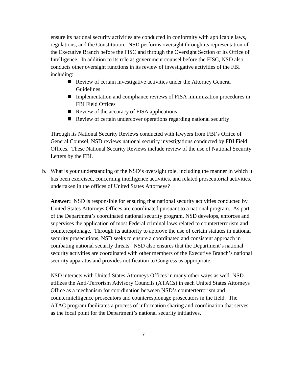ensure its national security activities are conducted in conformity with applicable laws, regulations, and the Constitution. NSD performs oversight through its representation of the Executive Branch before the FISC and through the Oversight Section of its Office of Intelligence. In addition to its role as government counsel before the FISC, NSD also conducts other oversight functions in its review of investigative activities of the FBI including:

- Review of certain investigative activities under the Attorney General Guidelines
- Implementation and compliance reviews of FISA minimization procedures in FBI Field Offices
- $\blacksquare$  Review of the accuracy of FISA applications
- Review of certain undercover operations regarding national security

Through its National Security Reviews conducted with lawyers from FBI's Office of General Counsel, NSD reviews national security investigations conducted by FBI Field Offices. These National Security Reviews include review of the use of National Security Letters by the FBI.

b. What is your understanding of the NSD's oversight role, including the manner in which it has been exercised, concerning intelligence activities, and related prosecutorial activities, undertaken in the offices of United States Attorneys?

Answer: NSD is responsible for ensuring that national security activities conducted by United States Attorneys Offices are coordinated pursuant to a national program. As part of the Department's coordinated national security program, NSD develops, enforces and supervises the application of most Federal criminal laws related to counterterrorism and counterespionage. Through its authority to approve the use of certain statutes in national security prosecutions, NSD seeks to ensure a coordinated and consistent approach in combating national security threats. NSD also ensures that the Department's national security activities are coordinated with other members of the Executive Branch's national security apparatus and provides notification to Congress as appropriate.

NSD interacts with United States Attorneys Offices in many other ways as well. NSD utilizes the Anti-Terrorism Advisory Councils (ATACs) in each United States Attorneys Office as a mechanism for coordination between NSD's counterterrorism and counterintelligence prosecutors and counterespionage prosecutors in the field. The ATAC program facilitates a process of information sharing and coordination that serves as the focal point for the Department's national security initiatives.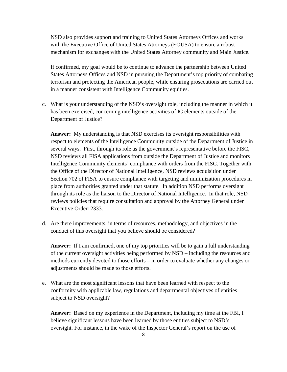NSD also provides support and training to United States Attorneys Offices and works with the Executive Office of United States Attorneys (EOUSA) to ensure a robust mechanism for exchanges with the United States Attorney community and Main Justice.

If confirmed, my goal would be to continue to advance the partnership between United States Attorneys Offices and NSD in pursuing the Department's top priority of combating terrorism and protecting the American people, while ensuring prosecutions are carried out in a manner consistent with Intelligence Community equities.

c. What is your understanding of the NSD's oversight role, including the manner in which it has been exercised, concerning intelligence activities of IC elements outside of the Department of Justice?

**Answer:** My understanding is that NSD exercises its oversight responsibilities with respect to elements of the Intelligence Community outside of the Department of Justice in several ways. First, through its role as the government's representative before the FISC, NSD reviews all FISA applications from outside the Department of Justice and monitors Intelligence Community elements' compliance with orders from the FISC. Together with the Office of the Director of National Intelligence, NSD reviews acquisition under Section 702 of FISA to ensure compliance with targeting and minimization procedures in place from authorities granted under that statute. In addition NSD performs oversight through its role as the liaison to the Director of National Intelligence. In that role, NSD reviews policies that require consultation and approval by the Attorney General under Executive Order12333.

d. Are there improvements, in terms of resources, methodology, and objectives in the conduct of this oversight that you believe should be considered?

**Answer:** If I am confirmed, one of my top priorities will be to gain a full understanding of the current oversight activities being performed by NSD – including the resources and methods currently devoted to those efforts – in order to evaluate whether any changes or adjustments should be made to those efforts.

e. What are the most significant lessons that have been learned with respect to the conformity with applicable law, regulations and departmental objectives of entities subject to NSD oversight?

**Answer:** Based on my experience in the Department, including my time at the FBI, I believe significant lessons have been learned by those entities subject to NSD's oversight. For instance, in the wake of the Inspector General's report on the use of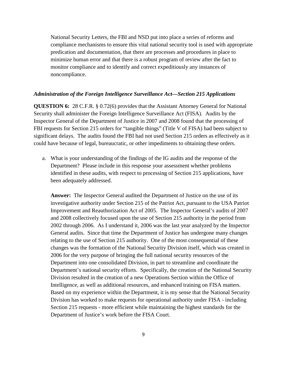National Security Letters, the FBI and NSD put into place a series of reforms and compliance mechanisms to ensure this vital national security tool is used with appropriate predication and documentation, that there are processes and procedures in place to minimize human error and that there is a robust program of review after the fact to monitor compliance and to identify and correct expeditiously any instances of noncompliance.

# *Administration of the Foreign Intelligence Surveillance Act—Section 215 Applications*

**QUESTION 6:** 28 C.F.R. § 0.72(6) provides that the Assistant Attorney General for National Security shall administer the Foreign Intelligence Surveillance Act (FISA). Audits by the Inspector General of the Department of Justice in 2007 and 2008 found that the processing of FBI requests for Section 215 orders for "tangible things" (Title V of FISA) had been subject to significant delays. The audits found the FBI had not used Section 215 orders as effectively as it could have because of legal, bureaucratic, or other impediments to obtaining these orders.

a. What is your understanding of the findings of the IG audits and the response of the Department? Please include in this response your assessment whether problems identified in these audits, with respect to processing of Section 215 applications, have been adequately addressed.

**Answer:** The Inspector General audited the Department of Justice on the use of its investigative authority under Section 215 of the Patriot Act, pursuant to the USA Patriot Improvement and Reauthorization Act of 2005. The Inspector General's audits of 2007 and 2008 collectively focused upon the use of Section 215 authority in the period from 2002 through 2006. As I understand it, 2006 was the last year analyzed by the Inspector General audits. Since that time the Department of Justice has undergone many changes relating to the use of Section 215 authority. One of the most consequential of these changes was the formation of the National Security Division itself, which was created in 2006 for the very purpose of bringing the full national security resources of the Department into one consolidated Division, in part to streamline and coordinate the Department's national security efforts. Specifically, the creation of the National Security Division resulted in the creation of a new Operations Section within the Office of Intelligence, as well as additional resources, and enhanced training on FISA matters. Based on my experience within the Department, it is my sense that the National Security Division has worked to make requests for operational authority under FISA - including Section 215 requests - more efficient while maintaining the highest standards for the Department of Justice's work before the FISA Court.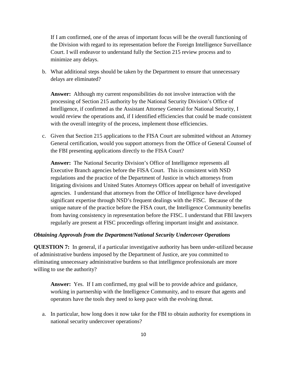If I am confirmed, one of the areas of important focus will be the overall functioning of the Division with regard to its representation before the Foreign Intelligence Surveillance Court. I will endeavor to understand fully the Section 215 review process and to minimize any delays.

b. What additional steps should be taken by the Department to ensure that unnecessary delays are eliminated?

**Answer:** Although my current responsibilities do not involve interaction with the processing of Section 215 authority by the National Security Division's Office of Intelligence, if confirmed as the Assistant Attorney General for National Security, I would review the operations and, if I identified efficiencies that could be made consistent with the overall integrity of the process, implement those efficiencies.

c. Given that Section 215 applications to the FISA Court are submitted without an Attorney General certification, would you support attorneys from the Office of General Counsel of the FBI presenting applications directly to the FISA Court?

**Answer:** The National Security Division's Office of Intelligence represents all Executive Branch agencies before the FISA Court. This is consistent with NSD regulations and the practice of the Department of Justice in which attorneys from litigating divisions and United States Attorneys Offices appear on behalf of investigative agencies. I understand that attorneys from the Office of Intelligence have developed significant expertise through NSD's frequent dealings with the FISC. Because of the unique nature of the practice before the FISA court, the Intelligence Community benefits from having consistency in representation before the FISC. I understand that FBI lawyers regularly are present at FISC proceedings offering important insight and assistance.

# *Obtaining Approvals from the Department/National Security Undercover Operations*

**QUESTION 7:** In general, if a particular investigative authority has been under-utilized because of administrative burdens imposed by the Department of Justice, are you committed to eliminating unnecessary administrative burdens so that intelligence professionals are more willing to use the authority?

**Answer:** Yes. If I am confirmed, my goal will be to provide advice and guidance, working in partnership with the Intelligence Community, and to ensure that agents and operators have the tools they need to keep pace with the evolving threat.

a. In particular, how long does it now take for the FBI to obtain authority for exemptions in national security undercover operations?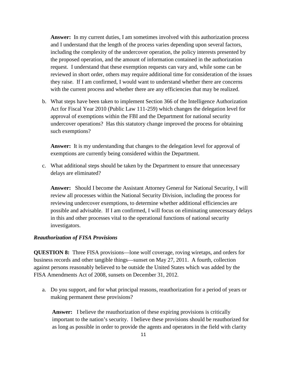**Answer:** In my current duties, I am sometimes involved with this authorization process and I understand that the length of the process varies depending upon several factors, including the complexity of the undercover operation, the policy interests presented by the proposed operation, and the amount of information contained in the authorization request. I understand that these exemption requests can vary and, while some can be reviewed in short order, others may require additional time for consideration of the issues they raise. If I am confirmed, I would want to understand whether there are concerns with the current process and whether there are any efficiencies that may be realized.

b. What steps have been taken to implement Section 366 of the Intelligence Authorization Act for Fiscal Year 2010 (Public Law 111-259) which changes the delegation level for approval of exemptions within the FBI and the Department for national security undercover operations? Has this statutory change improved the process for obtaining such exemptions?

**Answer:** It is my understanding that changes to the delegation level for approval of exemptions are currently being considered within the Department.

c. What additional steps should be taken by the Department to ensure that unnecessary delays are eliminated?

**Answer:** Should I become the Assistant Attorney General for National Security, I will review all processes within the National Security Division, including the process for reviewing undercover exemptions, to determine whether additional efficiencies are possible and advisable. If I am confirmed, I will focus on eliminating unnecessary delays in this and other processes vital to the operational functions of national security investigators.

# *Reauthorization of FISA Provisions*

**QUESTION 8:** Three FISA provisions—lone wolf coverage, roving wiretaps, and orders for business records and other tangible things—sunset on May 27, 2011. A fourth, collection against persons reasonably believed to be outside the United States which was added by the FISA Amendments Act of 2008, sunsets on December 31, 2012.

a. Do you support, and for what principal reasons, reauthorization for a period of years or making permanent these provisions?

**Answer:** I believe the reauthorization of these expiring provisions is critically important to the nation's security. I believe these provisions should be reauthorized for as long as possible in order to provide the agents and operators in the field with clarity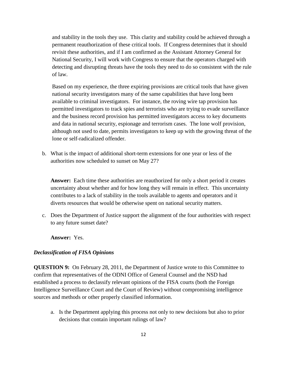and stability in the tools they use. This clarity and stability could be achieved through a permanent reauthorization of these critical tools. If Congress determines that it should revisit these authorities, and if I am confirmed as the Assistant Attorney General for National Security, I will work with Congress to ensure that the operators charged with detecting and disrupting threats have the tools they need to do so consistent with the rule of law.

Based on my experience, the three expiring provisions are critical tools that have given national security investigators many of the same capabilities that have long been available to criminal investigators. For instance, the roving wire tap provision has permitted investigators to track spies and terrorists who are trying to evade surveillance and the business record provision has permitted investigators access to key documents and data in national security, espionage and terrorism cases. The lone wolf provision, although not used to date, permits investigators to keep up with the growing threat of the lone or self-radicalized offender.

b. What is the impact of additional short-term extensions for one year or less of the authorities now scheduled to sunset on May 27?

Answer: Each time these authorities are reauthorized for only a short period it creates uncertainty about whether and for how long they will remain in effect. This uncertainty contributes to a lack of stability in the tools available to agents and operators and it diverts resources that would be otherwise spent on national security matters.

c. Does the Department of Justice support the alignment of the four authorities with respect to any future sunset date?

**Answer:** Yes.

## *Declassification of FISA Opinions*

**QUESTION 9:** On February 28, 2011, the Department of Justice wrote to this Committee to confirm that representatives of the ODNI Office of General Counsel and the NSD had established a process to declassify relevant opinions of the FISA courts (both the Foreign Intelligence Surveillance Court and the Court of Review) without compromising intelligence sources and methods or other properly classified information.

a. Is the Department applying this process not only to new decisions but also to prior decisions that contain important rulings of law?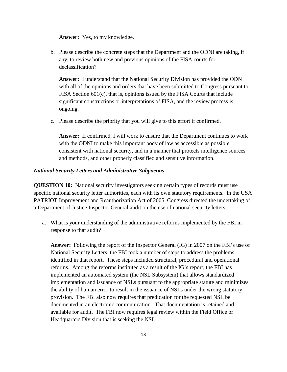**Answer:** Yes, to my knowledge.

b. Please describe the concrete steps that the Department and the ODNI are taking, if any, to review both new and previous opinions of the FISA courts for declassification?

**Answer:** I understand that the National Security Division has provided the ODNI with all of the opinions and orders that have been submitted to Congress pursuant to FISA Section 601(c), that is, opinions issued by the FISA Courts that include significant constructions or interpretations of FISA, and the review process is ongoing.

c. Please describe the priority that you will give to this effort if confirmed.

**Answer:** If confirmed, I will work to ensure that the Department continues to work with the ODNI to make this important body of law as accessible as possible, consistent with national security, and in a manner that protects intelligence sources and methods, and other properly classified and sensitive information.

## *National Security Letters and Administrative Subpoenas*

**QUESTION 10:** National security investigators seeking certain types of records must use specific national security letter authorities, each with its own statutory requirements. In the USA PATRIOT Improvement and Reauthorization Act of 2005, Congress directed the undertaking of a Department of Justice Inspector General audit on the use of national security letters.

a. What is your understanding of the administrative reforms implemented by the FBI in response to that audit?

**Answer:** Following the report of the Inspector General (IG) in 2007 on the FBI's use of National Security Letters, the FBI took a number of steps to address the problems identified in that report. These steps included structural, procedural and operational reforms. Among the reforms instituted as a result of the IG's report, the FBI has implemented an automated system (the NSL Subsystem) that allows standardized implementation and issuance of NSLs pursuant to the appropriate statute and minimizes the ability of human error to result in the issuance of NSLs under the wrong statutory provision. The FBI also now requires that predication for the requested NSL be documented in an electronic communication. That documentation is retained and available for audit. The FBI now requires legal review within the Field Office or Headquarters Division that is seeking the NSL.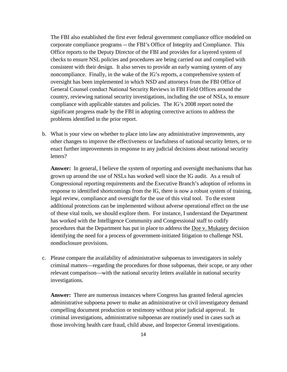The FBI also established the first ever federal government compliance office modeled on corporate compliance programs -- the FBI's Office of Integrity and Compliance. This Office reports to the Deputy Director of the FBI and provides for a layered system of checks to ensure NSL policies and procedures are being carried out and complied with consistent with their design. It also serves to provide an early warning system of any noncompliance. Finally, in the wake of the IG's reports, a comprehensive system of oversight has been implemented in which NSD and attorneys from the FBI Office of General Counsel conduct National Security Reviews in FBI Field Offices around the country, reviewing national security investigations, including the use of NSLs, to ensure compliance with applicable statutes and policies. The IG's 2008 report noted the significant progress made by the FBI in adopting corrective actions to address the problems identified in the prior report.

b. What is your view on whether to place into law any administrative improvements, any other changes to improve the effectiveness or lawfulness of national security letters, or to enact further improvements in response to any judicial decisions about national security letters?

**Answer:** In general, I believe the system of reporting and oversight mechanisms that has grown up around the use of NSLs has worked well since the IG audit. As a result of Congressional reporting requirements and the Executive Branch's adoption of reforms in response to identified shortcomings from the IG, there is now a robust system of training, legal review, compliance and oversight for the use of this vital tool. To the extent additional protections can be implemented without adverse operational effect on the use of these vital tools, we should explore them. For instance, I understand the Department has worked with the Intelligence Community and Congressional staff to codify procedures that the Department has put in place to address the Doe v. Mukasey decision identifying the need for a process of government-initiated litigation to challenge NSL nondisclosure provisions.

c. Please compare the availability of administrative subpoenas to investigators in solely criminal matters—regarding the procedures for those subpoenas, their scope, or any other relevant comparison—with the national security letters available in national security investigations.

**Answer:** There are numerous instances where Congress has granted federal agencies administrative subpoena power to make an administrative or civil investigatory demand compelling document production or testimony without prior judicial approval. In criminal investigations, administrative subpoenas are routinely used in cases such as those involving health care fraud, child abuse, and Inspector General investigations.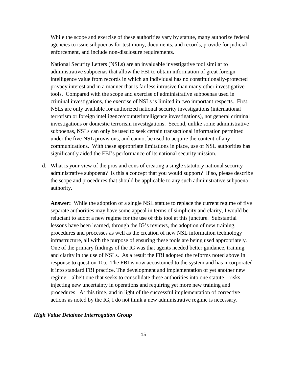While the scope and exercise of these authorities vary by statute, many authorize federal agencies to issue subpoenas for testimony, documents, and records, provide for judicial enforcement, and include non-disclosure requirements.

National Security Letters (NSLs) are an invaluable investigative tool similar to administrative subpoenas that allow the FBI to obtain information of great foreign intelligence value from records in which an individual has no constitutionally-protected privacy interest and in a manner that is far less intrusive than many other investigative tools. Compared with the scope and exercise of administrative subpoenas used in criminal investigations, the exercise of NSLs is limited in two important respects. First, NSLs are only available for authorized national security investigations (international terrorism or foreign intelligence/counterintelligence investigations), not general criminal investigations or domestic terrorism investigations. Second, unlike some administrative subpoenas, NSLs can only be used to seek certain transactional information permitted under the five NSL provisions, and cannot be used to acquire the content of any communications. With these appropriate limitations in place, use of NSL authorities has significantly aided the FBI's performance of its national security mission.

d. What is your view of the pros and cons of creating a single statutory national security administrative subpoena? Is this a concept that you would support? If so, please describe the scope and procedures that should be applicable to any such administrative subpoena authority.

**Answer:** While the adoption of a single NSL statute to replace the current regime of five separate authorities may have some appeal in terms of simplicity and clarity, I would be reluctant to adopt a new regime for the use of this tool at this juncture. Substantial lessons have been learned, through the IG's reviews, the adoption of new training, procedures and processes as well as the creation of new NSL information technology infrastructure, all with the purpose of ensuring these tools are being used appropriately. One of the primary findings of the IG was that agents needed better guidance, training and clarity in the use of NSLs. As a result the FBI adopted the reforms noted above in response to question 10a. The FBI is now accustomed to the system and has incorporated it into standard FBI practice. The development and implementation of yet another new regime – albeit one that seeks to consolidate these authorities into one statute – risks injecting new uncertainty in operations and requiring yet more new training and procedures. At this time, and in light of the successful implementation of corrective actions as noted by the IG, I do not think a new administrative regime is necessary.

# *High Value Detainee Interrogation Group*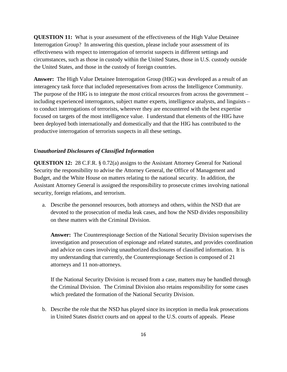**QUESTION 11:** What is your assessment of the effectiveness of the High Value Detainee Interrogation Group? In answering this question, please include your assessment of its effectiveness with respect to interrogation of terrorist suspects in different settings and circumstances, such as those in custody within the United States, those in U.S. custody outside the United States, and those in the custody of foreign countries.

**Answer:** The High Value Detainee Interrogation Group (HIG) was developed as a result of an interagency task force that included representatives from across the Intelligence Community. The purpose of the HIG is to integrate the most critical resources from across the government – including experienced interrogators, subject matter experts, intelligence analysts, and linguists – to conduct interrogations of terrorists, wherever they are encountered with the best expertise focused on targets of the most intelligence value. I understand that elements of the HIG have been deployed both internationally and domestically and that the HIG has contributed to the productive interrogation of terrorists suspects in all these settings.

# *Unauthorized Disclosures of Classified Information*

**QUESTION 12:** 28 C.F.R. § 0.72(a) assigns to the Assistant Attorney General for National Security the responsibility to advise the Attorney General, the Office of Management and Budget, and the White House on matters relating to the national security. In addition, the Assistant Attorney General is assigned the responsibility to prosecute crimes involving national security, foreign relations, and terrorism.

a. Describe the personnel resources, both attorneys and others, within the NSD that are devoted to the prosecution of media leak cases, and how the NSD divides responsibility on these matters with the Criminal Division.

**Answer:** The Counterespionage Section of the National Security Division supervises the investigation and prosecution of espionage and related statutes, and provides coordination and advice on cases involving unauthorized disclosures of classified information. It is my understanding that currently, the Counterespionage Section is composed of 21 attorneys and 11 non-attorneys.

If the National Security Division is recused from a case, matters may be handled through the Criminal Division. The Criminal Division also retains responsibility for some cases which predated the formation of the National Security Division.

b. Describe the role that the NSD has played since its inception in media leak prosecutions in United States district courts and on appeal to the U.S. courts of appeals. Please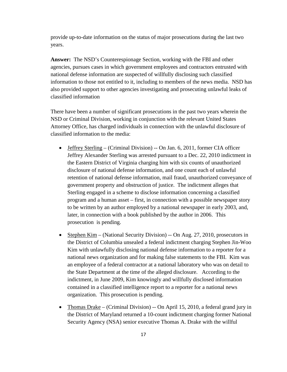provide up-to-date information on the status of major prosecutions during the last two years.

**Answer:** The NSD's Counterespionage Section, working with the FBI and other agencies, pursues cases in which government employees and contractors entrusted with national defense information are suspected of willfully disclosing such classified information to those not entitled to it, including to members of the news media. NSD has also provided support to other agencies investigating and prosecuting unlawful leaks of classified information

There have been a number of significant prosecutions in the past two years wherein the NSD or Criminal Division, working in conjunction with the relevant United States Attorney Office, has charged individuals in connection with the unlawful disclosure of classified information to the media:

- Jeffrey Sterling (Criminal Division) -- On Jan. 6, 2011, former CIA officer Jeffrey Alexander Sterling was arrested pursuant to a Dec. 22, 2010 indictment in the Eastern District of Virginia charging him with six counts of unauthorized disclosure of national defense information, and one count each of unlawful retention of national defense information, mail fraud, unauthorized conveyance of government property and obstruction of justice. The indictment alleges that Sterling engaged in a scheme to disclose information concerning a classified program and a human asset – first, in connection with a possible newspaper story to be written by an author employed by a national newspaper in early 2003, and, later, in connection with a book published by the author in 2006. This prosecution is pending.
- Stephen Kim (National Security Division) -- On Aug. 27, 2010, prosecutors in the District of Columbia unsealed a federal indictment charging Stephen Jin-Woo Kim with unlawfully disclosing national defense information to a reporter for a national news organization and for making false statements to the FBI. Kim was an employee of a federal contractor at a national laboratory who was on detail to the State Department at the time of the alleged disclosure. According to the indictment, in June 2009, Kim knowingly and willfully disclosed information contained in a classified intelligence report to a reporter for a national news organization. This prosecution is pending.
- Thomas Drake (Criminal Division) -- On April 15, 2010, a federal grand jury in the District of Maryland returned a 10-count indictment charging former National Security Agency (NSA) senior executive Thomas A. Drake with the willful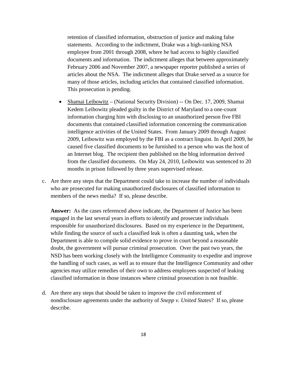retention of classified information, obstruction of justice and making false statements. According to the indictment, Drake was a high-ranking NSA employee from 2001 through 2008, where he had access to highly classified documents and information. The indictment alleges that between approximately February 2006 and November 2007, a newspaper reporter published a series of articles about the NSA. The indictment alleges that Drake served as a source for many of those articles, including articles that contained classified information. This prosecution is pending.

- Shamai Leibowitz (National Security Division) -- On Dec. 17, 2009, Shamai Kedem Leibowitz pleaded guilty in the District of Maryland to a one-count information charging him with disclosing to an unauthorized person five FBI documents that contained classified information concerning the communication intelligence activities of the United States. From January 2009 through August 2009, Leibowitz was employed by the FBI as a contract linguist. In April 2009, he caused five classified documents to be furnished to a person who was the host of an Internet blog. The recipient then published on the blog information derived from the classified documents. On May 24, 2010, Leibowitz was sentenced to 20 months in prison followed by three years supervised release.
- c. Are there any steps that the Department could take to increase the number of individuals who are prosecuted for making unauthorized disclosures of classified information to members of the news media? If so, please describe.

**Answer:** As the cases referenced above indicate, the Department of Justice has been engaged in the last several years in efforts to identify and prosecute individuals responsible for unauthorized disclosures. Based on my experience in the Department, while finding the source of such a classified leak is often a daunting task, when the Department is able to compile solid evidence to prove in court beyond a reasonable doubt, the government will pursue criminal prosecution. Over the past two years, the NSD has been working closely with the Intelligence Community to expedite and improve the handling of such cases, as well as to ensure that the Intelligence Community and other agencies may utilize remedies of their own to address employees suspected of leaking classified information in those instances where criminal prosecution is not feasible.

d. Are there any steps that should be taken to improve the civil enforcement of nondisclosure agreements under the authority of *Snepp v. United States*? If so, please describe.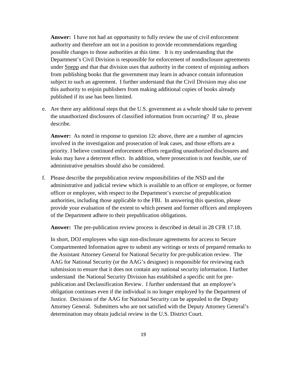**Answer:** I have not had an opportunity to fully review the use of civil enforcement authority and therefore am not in a position to provide recommendations regarding possible changes to those authorities at this time. It is my understanding that the Department's Civil Division is responsible for enforcement of nondisclosure agreements under Snepp and that that division uses that authority in the context of enjoining authors from publishing books that the government may learn in advance contain information subject to such an agreement. I further understand that the Civil Division may also use this authority to enjoin publishers from making additional copies of books already published if its use has been limited.

e. Are there any additional steps that the U.S. government as a whole should take to prevent the unauthorized disclosures of classified information from occurring? If so, please describe.

**Answer:** As noted in response to question 12c above, there are a number of agencies involved in the investigation and prosecution of leak cases, and those efforts are a priority. I believe continued enforcement efforts regarding unauthorized disclosures and leaks may have a deterrent effect. In addition, where prosecution is not feasible, use of administrative penalties should also be considered.

f. Please describe the prepublication review responsibilities of the NSD and the administrative and judicial review which is available to an officer or employee, or former officer or employee, with respect to the Department's exercise of prepublication authorities, including those applicable to the FBI. In answering this question, please provide your evaluation of the extent to which present and former officers and employees of the Department adhere to their prepublication obligations.

**Answer:** The pre-publication review process is described in detail in 28 CFR 17.18.

In short, DOJ employees who sign non-disclosure agreements for access to Secure Compartmented Information agree to submit any writings or texts of prepared remarks to the Assistant Attorney General for National Security for pre-publication review. The AAG for National Security (or the AAG's designee) is responsible for reviewing each submission to ensure that it does not contain any national security information. I further understand the National Security Division has established a specific unit for prepublication and Declassification Review. I further understand that an employee's obligation continues even if the individual is no longer employed by the Department of Justice. Decisions of the AAG for National Security can be appealed to the Deputy Attorney General. Submitters who are not satisfied with the Deputy Attorney General's determination may obtain judicial review in the U.S. District Court.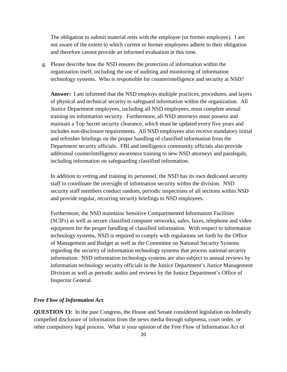The obligation to submit material rests with the employee (or former employee). I am not aware of the extent to which current or former employees adhere to their obligation and therefore cannot provide an informed evaluation at this time.

g. Please describe how the NSD ensures the protection of information within the organization itself, including the use of auditing and monitoring of information technology systems. Who is responsible for counterintelligence and security at NSD?

**Answer:** I am informed that the NSD employs multiple practices, procedures, and layers of physical and technical security to safeguard information within the organization. All Justice Department employees, including all NSD employees, must complete annual training on information security. Furthermore, all NSD attorneys must possess and maintain a Top Secret security clearance, which must be updated every five years and includes non-disclosure requirements. All NSD employees also receive mandatory initial and refresher briefings on the proper handling of classified information from the Department security officials. FBI and intelligence community officials also provide additional counterintelligence awareness training to new NSD attorneys and paralegals, including information on safeguarding classified information.

In addition to vetting and training its personnel, the NSD has its own dedicated security staff to coordinate the oversight of information security within the division. NSD security staff members conduct random, periodic inspections of all sections within NSD and provide regular, recurring security briefings to NSD employees.

Furthermore, the NSD maintains Sensitive Compartmented Information Facilities (SCIFs) as well as secure classified computer networks, safes, faxes, telephone and video equipment for the proper handling of classified information. With respect to information technology systems, NSD is required to comply with regulations set forth by the Office of Management and Budget as well as the Committee on National Security Systems regarding the security of information technology systems that process national security information. NSD information technology systems are also subject to annual reviews by information technology security officials in the Justice Department's Justice Management Division as well as periodic audits and reviews by the Justice Department's Office of Inspector General.

# *Free Flow of Information Act*

**QUESTION 13:** In the past Congress, the House and Senate considered legislation on federally compelled disclosure of information from the news media through subpoena, court order, or other compulsory legal process. What is your opinion of the Free Flow of Information Act of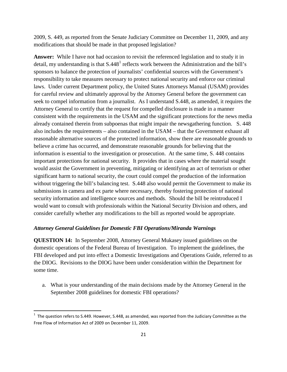2009, S. 449, as reported from the Senate Judiciary Committee on December 11, 2009, and any modifications that should be made in that proposed legislation?

**Answer:** While I have not had occasion to revisit the referenced legislation and to study it in detail, my understanding is that  $S.448<sup>1</sup>$  $S.448<sup>1</sup>$  $S.448<sup>1</sup>$  reflects work between the Administration and the bill's sponsors to balance the protection of journalists' confidential sources with the Government's responsibility to take measures necessary to protect national security and enforce our criminal laws. Under current Department policy, the United States Attorneys Manual (USAM) provides for careful review and ultimately approval by the Attorney General before the government can seek to compel information from a journalist. As I understand S.448, as amended, it requires the Attorney General to certify that the request for compelled disclosure is made in a manner consistent with the requirements in the USAM and the significant protections for the news media already contained therein from subpoenas that might impair the newsgathering function. S. 448 also includes the requirements – also contained in the USAM – that the Government exhaust all reasonable alternative sources of the protected information, show there are reasonable grounds to believe a crime has occurred, and demonstrate reasonable grounds for believing that the information is essential to the investigation or prosecution. At the same time, S. 448 contains important protections for national security. It provides that in cases where the material sought would assist the Government in preventing, mitigating or identifying an act of terrorism or other significant harm to national security, the court could compel the production of the information without triggering the bill's balancing test. S.448 also would permit the Government to make its submissions in camera and ex parte where necessary, thereby fostering protection of national security information and intelligence sources and methods. Should the bill be reintroduced I would want to consult with professionals within the National Security Division and others, and consider carefully whether any modifications to the bill as reported would be appropriate.

## *Attorney General Guidelines for Domestic FBI Operations/Miranda Warnings*

**QUESTION 14:** In September 2008, Attorney General Mukasey issued guidelines on the domestic operations of the Federal Bureau of Investigation. To implement the guidelines, the FBI developed and put into effect a Domestic Investigations and Operations Guide, referred to as the DIOG. Revisions to the DIOG have been under consideration within the Department for some time.

a. What is your understanding of the main decisions made by the Attorney General in the September 2008 guidelines for domestic FBI operations?

<span id="page-20-0"></span> $\frac{1}{1}$  $1$  The question refers to S.449. However, S.448, as amended, was reported from the Judiciary Committee as the Free Flow of Information Act of 2009 on December 11, 2009.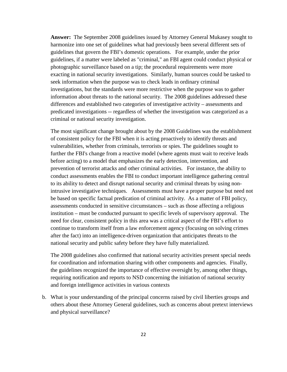**Answer:** The September 2008 guidelines issued by Attorney General Mukasey sought to harmonize into one set of guidelines what had previously been several different sets of guidelines that govern the FBI's domestic operations. For example, under the prior guidelines, if a matter were labeled as "criminal," an FBI agent could conduct physical or photographic surveillance based on a tip; the procedural requirements were more exacting in national security investigations. Similarly, human sources could be tasked to seek information when the purpose was to check leads in ordinary criminal investigations, but the standards were more restrictive when the purpose was to gather information about threats to the national security. The 2008 guidelines addressed these differences and established two categories of investigative activity – assessments and predicated investigations -- regardless of whether the investigation was categorized as a criminal or national security investigation.

The most significant change brought about by the 2008 Guidelines was the establishment of consistent policy for the FBI when it is acting proactively to identify threats and vulnerabilities, whether from criminals, terrorists or spies. The guidelines sought to further the FBI's change from a reactive model (where agents must wait to receive leads before acting) to a model that emphasizes the early detection, intervention, and prevention of terrorist attacks and other criminal activities. For instance, the ability to conduct assessments enables the FBI to conduct important intelligence gathering central to its ability to detect and disrupt national security and criminal threats by using nonintrusive investigative techniques. Assessments must have a proper purpose but need not be based on specific factual predication of criminal activity. As a matter of FBI policy, assessments conducted in sensitive circumstances – such as those affecting a religious institution – must be conducted pursuant to specific levels of supervisory approval. The need for clear, consistent policy in this area was a critical aspect of the FBI's effort to continue to transform itself from a law enforcement agency (focusing on solving crimes after the fact) into an intelligence-driven organization that anticipates threats to the national security and public safety before they have fully materialized.

The 2008 guidelines also confirmed that national security activities present special needs for coordination and information sharing with other components and agencies. Finally, the guidelines recognized the importance of effective oversight by, among other things, requiring notification and reports to NSD concerning the initiation of national security and foreign intelligence activities in various contexts

b. What is your understanding of the principal concerns raised by civil liberties groups and others about these Attorney General guidelines, such as concerns about pretext interviews and physical surveillance?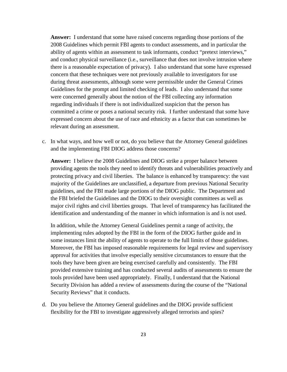**Answer:** I understand that some have raised concerns regarding those portions of the 2008 Guidelines which permit FBI agents to conduct assessments, and in particular the ability of agents within an assessment to task informants, conduct "pretext interviews," and conduct physical surveillance (i.e., surveillance that does not involve intrusion where there is a reasonable expectation of privacy). I also understand that some have expressed concern that these techniques were not previously available to investigators for use during threat assessments, although some were permissible under the General Crimes Guidelines for the prompt and limited checking of leads. I also understand that some were concerned generally about the notion of the FBI collecting any information regarding individuals if there is not individualized suspicion that the person has committed a crime or poses a national security risk. I further understand that some have expressed concern about the use of race and ethnicity as a factor that can sometimes be relevant during an assessment.

c. In what ways, and how well or not, do you believe that the Attorney General guidelines and the implementing FBI DIOG address those concerns?

**Answer:** I believe the 2008 Guidelines and DIOG strike a proper balance between providing agents the tools they need to identify threats and vulnerabilities proactively and protecting privacy and civil liberties. The balance is enhanced by transparency: the vast majority of the Guidelines are unclassified, a departure from previous National Security guidelines, and the FBI made large portions of the DIOG public. The Department and the FBI briefed the Guidelines and the DIOG to their oversight committees as well as major civil rights and civil liberties groups. That level of transparency has facilitated the identification and understanding of the manner in which information is and is not used.

In addition, while the Attorney General Guidelines permit a range of activity, the implementing rules adopted by the FBI in the form of the DIOG further guide and in some instances limit the ability of agents to operate to the full limits of those guidelines. Moreover, the FBI has imposed reasonable requirements for legal review and supervisory approval for activities that involve especially sensitive circumstances to ensure that the tools they have been given are being exercised carefully and consistently. The FBI provided extensive training and has conducted several audits of assessments to ensure the tools provided have been used appropriately. Finally, I understand that the National Security Division has added a review of assessments during the course of the "National Security Reviews" that it conducts.

d. Do you believe the Attorney General guidelines and the DIOG provide sufficient flexibility for the FBI to investigate aggressively alleged terrorists and spies?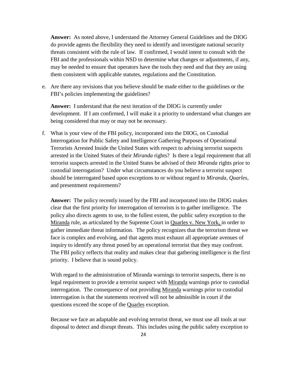**Answer:** As noted above, I understand the Attorney General Guidelines and the DIOG do provide agents the flexibility they need to identify and investigate national security threats consistent with the rule of law. If confirmed, I would intent to consult with the FBI and the professionals within NSD to determine what changes or adjustments, if any, may be needed to ensure that operators have the tools they need and that they are using them consistent with applicable statutes, regulations and the Constitution.

e. Are there any revisions that you believe should be made either to the guidelines or the FBI's policies implementing the guidelines?

**Answer:** I understand that the next iteration of the DIOG is currently under development. If I am confirmed, I will make it a priority to understand what changes are being considered that may or may not be necessary.

f. What is your view of the FBI policy, incorporated into the DIOG, on Custodial Interrogation for Public Safety and Intelligence Gathering Purposes of Operational Terrorists Arrested Inside the United States with respect to advising terrorist suspects arrested in the United States of their *Miranda* rights? Is there a legal requirement that all terrorist suspects arrested in the United States be advised of their *Miranda* rights prior to custodial interrogation? Under what circumstances do you believe a terrorist suspect should be interrogated based upon exceptions to or without regard to *Miranda, Quarles,*  and presentment requirements?

**Answer:** The policy recently issued by the FBI and incorporated into the DIOG makes clear that the first priority for interrogation of terrorists is to gather intelligence. The policy also directs agents to use, to the fullest extent, the public safety exception to the Miranda rule, as articulated by the Supreme Court in Quarles v. New York, in order to gather immediate threat information. The policy recognizes that the terrorism threat we face is complex and evolving, and that agents must exhaust all appropriate avenues of inquiry to identify any threat posed by an operational terrorist that they may confront. The FBI policy reflects that reality and makes clear that gathering intelligence is the first priority. I believe that is sound policy.

With regard to the administration of Miranda warnings to terrorist suspects, there is no legal requirement to provide a terrorist suspect with Miranda warnings prior to custodial interrogation. The consequence of not providing Miranda warnings prior to custodial interrogation is that the statements received will not be admissible in court if the questions exceed the scope of the Quarles exception.

Because we face an adaptable and evolving terrorist threat, we must use all tools at our disposal to detect and disrupt threats. This includes using the public safety exception to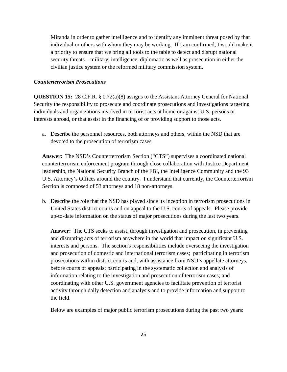Miranda in order to gather intelligence and to identify any imminent threat posed by that individual or others with whom they may be working. If I am confirmed, I would make it a priority to ensure that we bring all tools to the table to detect and disrupt national security threats – military, intelligence, diplomatic as well as prosecution in either the civilian justice system or the reformed military commission system.

## *Counterterrorism Prosecutions*

**QUESTION 15:** 28 C.F.R. § 0.72(a)(8) assigns to the Assistant Attorney General for National Security the responsibility to prosecute and coordinate prosecutions and investigations targeting individuals and organizations involved in terrorist acts at home or against U.S. persons or interests abroad, or that assist in the financing of or providing support to those acts.

a. Describe the personnel resources, both attorneys and others, within the NSD that are devoted to the prosecution of terrorism cases.

**Answer:** The NSD's Counterterrorism Section ("CTS") supervises a coordinated national counterterrorism enforcement program through close collaboration with Justice Department leadership, the National Security Branch of the FBI, the Intelligence Community and the 93 U.S. Attorney's Offices around the country. I understand that currently, the Counterterrorism Section is composed of 53 attorneys and 18 non-attorneys.

b. Describe the role that the NSD has played since its inception in terrorism prosecutions in United States district courts and on appeal to the U.S. courts of appeals. Please provide up-to-date information on the status of major prosecutions during the last two years.

**Answer:** The CTS seeks to assist, through investigation and prosecution, in preventing and disrupting acts of terrorism anywhere in the world that impact on significant U.S. interests and persons. The section's responsibilities include overseeing the investigation and prosecution of domestic and international terrorism cases; participating in terrorism prosecutions within district courts and, with assistance from NSD's appellate attorneys, before courts of appeals; participating in the systematic collection and analysis of information relating to the investigation and prosecution of terrorism cases; and coordinating with other U.S. government agencies to facilitate prevention of terrorist activity through daily detection and analysis and to provide information and support to the field.

Below are examples of major public terrorism prosecutions during the past two years: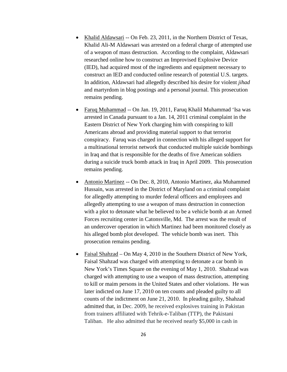- Khalid Aldawsari -- On Feb. 23, 2011, in the Northern District of Texas, Khalid Ali-M Aldawsari was arrested on a federal charge of attempted use of a weapon of mass destruction. According to the complaint, Aldawsari researched online how to construct an Improvised Explosive Device (IED), had acquired most of the ingredients and equipment necessary to construct an IED and conducted online research of potential U.S. targets. In addition, Aldawsari had allegedly described his desire for violent *jihad*  and martyrdom in blog postings and a personal journal. This prosecution remains pending.
- Faruq Muhammad -- On Jan. 19, 2011, Faruq Khalil Muhammad 'Isa was arrested in Canada pursuant to a Jan. 14, 2011 criminal complaint in the Eastern District of New York charging him with conspiring to kill Americans abroad and providing material support to that terrorist conspiracy. Faruq was charged in connection with his alleged support for a multinational terrorist network that conducted multiple suicide bombings in Iraq and that is responsible for the deaths of five American soldiers during a suicide truck bomb attack in Iraq in April 2009. This prosecution remains pending.
- Antonio Martinez -- On Dec. 8, 2010, Antonio Martinez, aka Muhammed Hussain, was arrested in the District of Maryland on a criminal complaint for allegedly attempting to murder federal officers and employees and allegedly attempting to use a weapon of mass destruction in connection with a plot to detonate what he believed to be a vehicle bomb at an Armed Forces recruiting center in Catonsville, Md. The arrest was the result of an undercover operation in which Martinez had been monitored closely as his alleged bomb plot developed. The vehicle bomb was inert. This prosecution remains pending.
- Faisal Shahzad On May 4, 2010 in the Southern District of New York, Faisal Shahzad was charged with attempting to detonate a car bomb in New York's Times Square on the evening of May 1, 2010. Shahzad was charged with attempting to use a weapon of mass destruction, attempting to kill or maim persons in the United States and other violations. He was later indicted on June 17, 2010 on ten counts and pleaded guilty to all counts of the indictment on June 21, 2010. In pleading guilty, Shahzad admitted that, in Dec. 2009, he received explosives training in Pakistan from trainers affiliated with Tehrik-e-Taliban (TTP), the Pakistani Taliban. He also admitted that he received nearly \$5,000 in cash in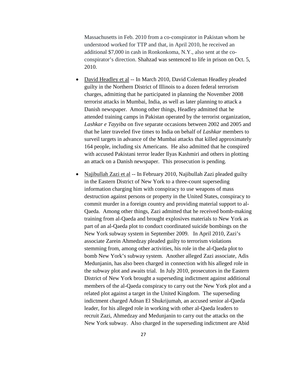Massachusetts in Feb. 2010 from a co-conspirator in Pakistan whom he understood worked for TTP and that, in April 2010, he received an additional \$7,000 in cash in Ronkonkoma, N.Y., also sent at the coconspirator's direction. Shahzad was sentenced to life in prison on Oct. 5, 2010.

- David Headley et al -- In March 2010, David Coleman Headley pleaded guilty in the Northern District of Illinois to a dozen federal terrorism charges, admitting that he participated in planning the November 2008 terrorist attacks in Mumbai, India, as well as later planning to attack a Danish newspaper. Among other things, Headley admitted that he attended training camps in Pakistan operated by the terrorist organization, *Lashkar e Tayyiba* on five separate occasions between 2002 and 2005 and that he later traveled five times to India on behalf of *Lashkar* members to surveil targets in advance of the Mumbai attacks that killed approximately 164 people, including six Americans. He also admitted that he conspired with accused Pakistani terror leader Ilyas Kashmiri and others in plotting an attack on a Danish newspaper. This prosecution is pending.
- Najibullah Zazi et al -- In February 2010, Najibullah Zazi pleaded guilty in the Eastern District of New York to a three-count superseding information charging him with conspiracy to use weapons of mass destruction against persons or property in the United States, conspiracy to commit murder in a foreign country and providing material support to al-Qaeda. Among other things, Zazi admitted that he received bomb-making training from al-Qaeda and brought explosives materials to New York as part of an al-Qaeda plot to conduct coordinated suicide bombings on the New York subway system in September 2009. In April 2010, Zazi's associate Zarein Ahmedzay pleaded guilty to terrorism violations stemming from, among other activities, his role in the al-Qaeda plot to bomb New York's subway system. Another alleged Zazi associate, Adis Medunjanin, has also been charged in connection with his alleged role in the subway plot and awaits trial. In July 2010, prosecutors in the Eastern District of New York brought a superseding indictment against additional members of the al-Qaeda conspiracy to carry out the New York plot and a related plot against a target in the United Kingdom. The superseding indictment charged Adnan El Shukrijumah, an accused senior al-Qaeda leader, for his alleged role in working with other al-Qaeda leaders to recruit Zazi, Ahmedzay and Medunjanin to carry out the attacks on the New York subway. Also charged in the superseding indictment are Abid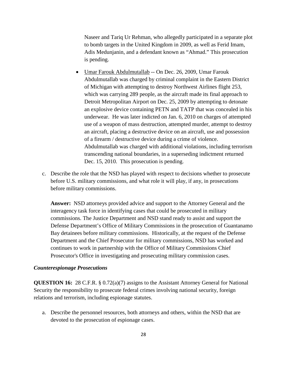Naseer and Tariq Ur Rehman, who allegedly participated in a separate plot to bomb targets in the United Kingdom in 2009, as well as Ferid Imam, Adis Medunjanin, and a defendant known as "Ahmad." This prosecution is pending.

- Umar Farouk Abdulmutallab -- On Dec. 26, 2009, Umar Farouk Abdulmutallab was charged by criminal complaint in the Eastern District of Michigan with attempting to destroy Northwest Airlines flight 253, which was carrying 289 people, as the aircraft made its final approach to Detroit Metropolitan Airport on Dec. 25, 2009 by attempting to detonate an explosive device containing PETN and TATP that was concealed in his underwear. He was later indicted on Jan. 6, 2010 on charges of attempted use of a weapon of mass destruction, attempted murder, attempt to destroy an aircraft, placing a destructive device on an aircraft, use and possession of a firearm / destructive device during a crime of violence. Abdulmutallab was charged with additional violations, including terrorism transcending national boundaries, in a superseding indictment returned Dec. 15, 2010. This prosecution is pending.
- c. Describe the role that the NSD has played with respect to decisions whether to prosecute before U.S. military commissions, and what role it will play, if any, in prosecutions before military commissions.

**Answer:** NSD attorneys provided advice and support to the Attorney General and the interagency task force in identifying cases that could be prosecuted in military commissions. The Justice Department and NSD stand ready to assist and support the Defense Department's Office of Military Commissions in the prosecution of Guantanamo Bay detainees before military commissions. Historically, at the request of the Defense Department and the Chief Prosecutor for military commissions, NSD has worked and continues to work in partnership with the Office of Military Commissions Chief Prosecutor's Office in investigating and prosecuting military commission cases.

#### *Counterespionage Prosecutions*

**QUESTION 16:** 28 C.F.R. § 0.72(a)(7) assigns to the Assistant Attorney General for National Security the responsibility to prosecute federal crimes involving national security, foreign relations and terrorism, including espionage statutes.

a. Describe the personnel resources, both attorneys and others, within the NSD that are devoted to the prosecution of espionage cases.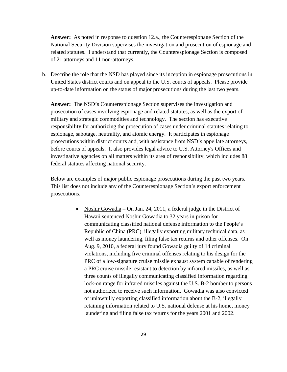**Answer:** As noted in response to question 12.a., the Counterespionage Section of the National Security Division supervises the investigation and prosecution of espionage and related statutes. I understand that currently, the Counterespionage Section is composed of 21 attorneys and 11 non-attorneys.

b. Describe the role that the NSD has played since its inception in espionage prosecutions in United States district courts and on appeal to the U.S. courts of appeals. Please provide up-to-date information on the status of major prosecutions during the last two years.

**Answer:** The NSD's Counterespionage Section supervises the investigation and prosecution of cases involving espionage and related statutes, as well as the export of military and strategic commodities and technology. The section has executive responsibility for authorizing the prosecution of cases under criminal statutes relating to espionage, sabotage, neutrality, and atomic energy. It participates in espionage prosecutions within district courts and, with assistance from NSD's appellate attorneys, before courts of appeals. It also provides legal advice to U.S. Attorney's Offices and investigative agencies on all matters within its area of responsibility, which includes 88 federal statutes affecting national security.

Below are examples of major public espionage prosecutions during the past two years. This list does not include any of the Counterespionage Section's export enforcement prosecutions.

> • Noshir Gowadia – On Jan. 24, 2011, a federal judge in the District of Hawaii sentenced Noshir Gowadia to 32 years in prison for communicating classified national defense information to the People's Republic of China (PRC), illegally exporting military technical data, as well as money laundering, filing false tax returns and other offenses. On Aug. 9, 2010, a federal jury found Gowadia guilty of 14 criminal violations, including five criminal offenses relating to his design for the PRC of a low-signature cruise missile exhaust system capable of rendering a PRC cruise missile resistant to detection by infrared missiles, as well as three counts of illegally communicating classified information regarding lock-on range for infrared missiles against the U.S. B-2 bomber to persons not authorized to receive such information. Gowadia was also convicted of unlawfully exporting classified information about the B-2, illegally retaining information related to U.S. national defense at his home, money laundering and filing false tax returns for the years 2001 and 2002.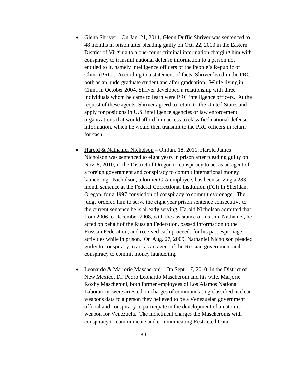- Glenn Shriver On Jan. 21, 2011, Glenn Duffie Shriver was sentenced to 48 months in prison after pleading guilty on Oct. 22, 2010 in the Eastern District of Virginia to a one-count criminal information charging him with conspiracy to transmit national defense information to a person not entitled to it, namely intelligence officers of the People's Republic of China (PRC). According to a statement of facts, Shriver lived in the PRC both as an undergraduate student and after graduation. While living in China in October 2004, Shriver developed a relationship with three individuals whom he came to learn were PRC intelligence officers. At the request of these agents, Shriver agreed to return to the United States and apply for positions in U.S. intelligence agencies or law enforcement organizations that would afford him access to classified national defense information, which he would then transmit to the PRC officers in return for cash.
- Harold & Nathaniel Nicholson On Jan. 18, 2011, Harold James Nicholson was sentenced to eight years in prison after pleading guilty on Nov. 8, 2010, in the District of Oregon to conspiracy to act as an agent of a foreign government and conspiracy to commit international money laundering. Nicholson, a former CIA employee, has been serving a 283 month sentence at the Federal Correctional Institution (FCI) in Sheridan, Oregon, for a 1997 conviction of conspiracy to commit espionage. The judge ordered him to serve the eight year prison sentence consecutive to the current sentence he is already serving. Harold Nicholson admitted that from 2006 to December 2008, with the assistance of his son, Nathaniel, he acted on behalf of the Russian Federation, passed information to the Russian Federation, and received cash proceeds for his past espionage activities while in prison. On Aug. 27, 2009, Nathaniel Nicholson pleaded guilty to conspiracy to act as an agent of the Russian government and conspiracy to commit money laundering.
- Leonardo & Marjorie Mascheroni On Sept. 17, 2010, in the District of New Mexico, Dr. Pedro Leonardo Mascheroni and his wife, Marjorie Roxby Mascheroni, both former employees of Los Alamos National Laboratory, were arrested on charges of communicating classified nuclear weapons data to a person they believed to be a Venezuelan government official and conspiracy to participate in the development of an atomic weapon for Venezuela. The indictment charges the Mascheronis with conspiracy to communicate and communicating Restricted Data;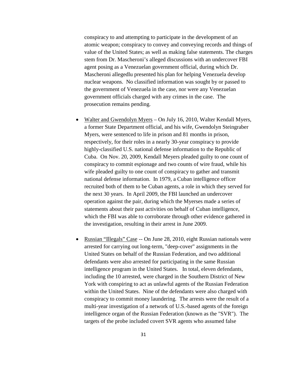conspiracy to and attempting to participate in the development of an atomic weapon; conspiracy to convey and conveying records and things of value of the United States; as well as making false statements. The charges stem from Dr. Mascheroni's alleged discussions with an undercover FBI agent posing as a Venezuelan government official, during which Dr. Mascheroni allegedlu presented his plan for helping Venezuela develop nuclear weapons. No classified information was sought by or passed to the government of Venezuela in the case, nor were any Venezuelan government officials charged with any crimes in the case. The prosecution remains pending.

- Walter and Gwendolyn Myers On July 16, 2010, Walter Kendall Myers, a former State Department official, and his wife, Gwendolyn Steingraber Myers, were sentenced to life in prison and 81 months in prison, respectively, for their roles in a nearly 30-year conspiracy to provide highly-classified U.S. national defense information to the Republic of Cuba. On Nov. 20, 2009, Kendall Meyers pleaded guilty to one count of conspiracy to commit espionage and two counts of wire fraud, while his wife pleaded guilty to one count of conspiracy to gather and transmit national defense information. In 1979, a Cuban intelligence officer recruited both of them to be Cuban agents, a role in which they served for the next 30 years. In April 2009, the FBI launched an undercover operation against the pair, during which the Myerses made a series of statements about their past activities on behalf of Cuban intelligence, which the FBI was able to corroborate through other evidence gathered in the investigation, resulting in their arrest in June 2009.
- Russian "Illegals" Case -- On June 28, 2010, eight Russian nationals were arrested for carrying out long-term, "deep-cover" assignments in the United States on behalf of the Russian Federation, and two additional defendants were also arrested for participating in the same Russian intelligence program in the United States. In total, eleven defendants, including the 10 arrested, were charged in the Southern District of New York with conspiring to act as unlawful agents of the Russian Federation within the United States. Nine of the defendants were also charged with conspiracy to commit money laundering. The arrests were the result of a multi-year investigation of a network of U.S.-based agents of the foreign intelligence organ of the Russian Federation (known as the "SVR"). The targets of the probe included covert SVR agents who assumed false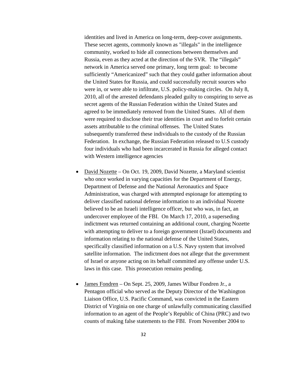identities and lived in America on long-term, deep-cover assignments. These secret agents, commonly known as "illegals" in the intelligence community, worked to hide all connections between themselves and Russia, even as they acted at the direction of the SVR. The "illegals" network in America served one primary, long term goal: to become sufficiently "Americanized" such that they could gather information about the United States for Russia, and could successfully recruit sources who were in, or were able to infiltrate, U.S. policy-making circles. On July 8, 2010, all of the arrested defendants pleaded guilty to conspiring to serve as secret agents of the Russian Federation within the United States and agreed to be immediately removed from the United States. All of them were required to disclose their true identities in court and to forfeit certain assets attributable to the criminal offenses. The United States subsequently transferred these individuals to the custody of the Russian Federation. In exchange, the Russian Federation released to U.S custody four individuals who had been incarcerated in Russia for alleged contact with Western intelligence agencies

- David Nozette On Oct. 19, 2009, David Nozette, a Maryland scientist who once worked in varying capacities for the Department of Energy, Department of Defense and the National Aeronautics and Space Administration, was charged with attempted espionage for attempting to deliver classified national defense information to an individual Nozette believed to be an Israeli intelligence officer, but who was, in fact, an undercover employee of the FBI. On March 17, 2010, a superseding indictment was returned containing an additional count, charging Nozette with attempting to deliver to a foreign government (Israel) documents and information relating to the national defense of the United States, specifically classified information on a U.S. Navy system that involved satellite information. The indictment does not allege that the government of Israel or anyone acting on its behalf committed any offense under U.S. laws in this case. This prosecution remains pending.
- James Fondren On Sept. 25, 2009, James Wilbur Fondren Jr., a Pentagon official who served as the Deputy Director of the Washington Liaison Office, U.S. Pacific Command, was convicted in the Eastern District of Virginia on one charge of unlawfully communicating classified information to an agent of the People's Republic of China (PRC) and two counts of making false statements to the FBI. From November 2004 to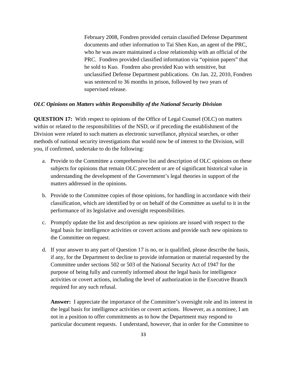February 2008, Fondren provided certain classified Defense Department documents and other information to Tai Shen Kuo, an agent of the PRC, who he was aware maintained a close relationship with an official of the PRC. Fondren provided classified information via "opinion papers" that he sold to Kuo. Fondren also provided Kuo with sensitive, but unclassified Defense Department publications. On Jan. 22, 2010, Fondren was sentenced to 36 months in prison, followed by two years of supervised release.

# *OLC Opinions on Matters within Responsibility of the National Security Division*

**QUESTION 17:** With respect to opinions of the Office of Legal Counsel (OLC) on matters within or related to the responsibilities of the NSD, or if preceding the establishment of the Division were related to such matters as electronic surveillance, physical searches, or other methods of national security investigations that would now be of interest to the Division, will you, if confirmed, undertake to do the following:

- a. Provide to the Committee a comprehensive list and description of OLC opinions on these subjects for opinions that remain OLC precedent or are of significant historical value in understanding the development of the Government's legal theories in support of the matters addressed in the opinions.
- b. Provide to the Committee copies of those opinions, for handling in accordance with their classification, which are identified by or on behalf of the Committee as useful to it in the performance of its legislative and oversight responsibilities.
- c. Promptly update the list and description as new opinions are issued with respect to the legal basis for intelligence activities or covert actions and provide such new opinions to the Committee on request.
- d. If your answer to any part of Question 17 is no, or is qualified, please describe the basis, if any, for the Department to decline to provide information or material requested by the Committee under sections 502 or 503 of the National Security Act of 1947 for the purpose of being fully and currently informed about the legal basis for intelligence activities or covert actions, including the level of authorization in the Executive Branch required for any such refusal.

**Answer:** I appreciate the importance of the Committee's oversight role and its interest in the legal basis for intelligence activities or covert actions. However, as a nominee, I am not in a position to offer commitments as to how the Department may respond to particular document requests. I understand, however, that in order for the Committee to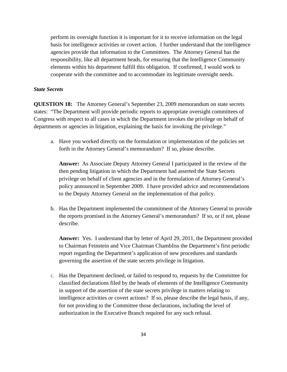perform its oversight function it is important for it to receive information on the legal basis for intelligence activities or covert action. I further understand that the intelligence agencies provide that information to the Committees. The Attorney General has the responsibility, like all department heads, for ensuring that the Intelligence Community elements within his department fulfill this obligation. If confirmed, I would work to cooperate with the committee and to accommodate its legitimate oversight needs.

# *State Secrets*

**QUESTION 18:** The Attorney General's September 23, 2009 memorandum on state secrets states: "The Department will provide periodic reports to appropriate oversight committees of Congress with respect to all cases in which the Department invokes the privilege on behalf of departments or agencies in litigation, explaining the basis for invoking the privilege."

a. Have you worked directly on the formulation or implementation of the policies set forth in the Attorney General's memorandum? If so, please describe.

**Answer:** As Associate Deputy Attorney General I participated in the review of the then pending litigation in which the Department had asserted the State Secrets privilege on behalf of client agencies and in the formulation of Attorney General's policy announced in September 2009. I have provided advice and recommendations to the Deputy Attorney General on the implementation of that policy.

b. Has the Department implemented the commitment of the Attorney General to provide the reports promised in the Attorney General's memorandum? If so, or if not, please describe.

**Answer:** Yes. I understand that by letter of April 29, 2011, the Department provided to Chairman Feinstein and Vice Chairman Chambliss the Department's first periodic report regarding the Department's application of new procedures and standards governing the assertion of the state secrets privilege in litigation.

c. Has the Department declined, or failed to respond to, requests by the Committee for classified declarations filed by the heads of elements of the Intelligence Community in support of the assertion of the state secrets privilege in matters relating to intelligence activities or covert actions? If so, please describe the legal basis, if any, for not providing to the Committee those declarations, including the level of authorization in the Executive Branch required for any such refusal.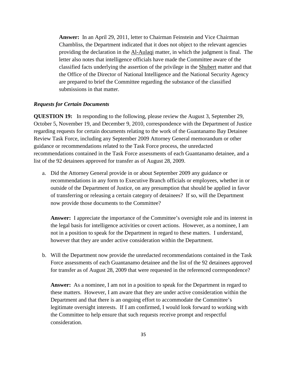**Answer:** In an April 29, 2011, letter to Chairman Feinstein and Vice Chairman Chambliss, the Department indicated that it does not object to the relevant agencies providing the declaration in the Al-Aulaqi matter, in which the judgment is final. The letter also notes that intelligence officials have made the Committee aware of the classified facts underlying the assertion of the privilege in the Shubert matter and that the Office of the Director of National Intelligence and the National Security Agency are prepared to brief the Committee regarding the substance of the classified submissions in that matter.

## *Requests for Certain Documents*

**QUESTION 19:** In responding to the following, please review the August 3, September 29, October 5, November 19, and December 9, 2010, correspondence with the Department of Justice regarding requests for certain documents relating to the work of the Guantanamo Bay Detainee Review Task Force, including any September 2009 Attorney General memorandum or other guidance or recommendations related to the Task Force process, the unredacted recommendations contained in the Task Force assessments of each Guantanamo detainee, and a list of the 92 detainees approved for transfer as of August 28, 2009.

a. Did the Attorney General provide in or about September 2009 any guidance or recommendations in any form to Executive Branch officials or employees, whether in or outside of the Department of Justice, on any presumption that should be applied in favor of transferring or releasing a certain category of detainees? If so, will the Department now provide those documents to the Committee?

**Answer:** I appreciate the importance of the Committee's oversight role and its interest in the legal basis for intelligence activities or covert actions. However, as a nominee, I am not in a position to speak for the Department in regard to these matters. I understand, however that they are under active consideration within the Department.

b. Will the Department now provide the unredacted recommendations contained in the Task Force assessments of each Guantanamo detainee and the list of the 92 detainees approved for transfer as of August 28, 2009 that were requested in the referenced correspondence?

**Answer:** As a nominee, I am not in a position to speak for the Department in regard to these matters. However, I am aware that they are under active consideration within the Department and that there is an ongoing effort to accommodate the Committee's legitimate oversight interests. If I am confirmed, I would look forward to working with the Committee to help ensure that such requests receive prompt and respectful consideration.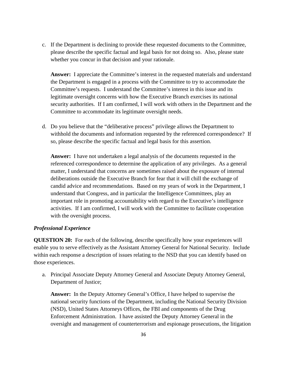c. If the Department is declining to provide these requested documents to the Committee, please describe the specific factual and legal basis for not doing so. Also, please state whether you concur in that decision and your rationale.

**Answer:** I appreciate the Committee's interest in the requested materials and understand the Department is engaged in a process with the Committee to try to accommodate the Committee's requests. I understand the Committee's interest in this issue and its legitimate oversight concerns with how the Executive Branch exercises its national security authorities. If I am confirmed, I will work with others in the Department and the Committee to accommodate its legitimate oversight needs.

d. Do you believe that the "deliberative process" privilege allows the Department to withhold the documents and information requested by the referenced correspondence? If so, please describe the specific factual and legal basis for this assertion.

**Answer:** I have not undertaken a legal analysis of the documents requested in the referenced correspondence to determine the application of any privileges. As a general matter, I understand that concerns are sometimes raised about the exposure of internal deliberations outside the Executive Branch for fear that it will chill the exchange of candid advice and recommendations. Based on my years of work in the Department, I understand that Congress, and in particular the Intelligence Committees, play an important role in promoting accountability with regard to the Executive's intelligence activities. If I am confirmed, I will work with the Committee to facilitate cooperation with the oversight process.

## *Professional Experience*

**QUESTION 20:** For each of the following, describe specifically how your experiences will enable you to serve effectively as the Assistant Attorney General for National Security. Include within each response a description of issues relating to the NSD that you can identify based on those experiences.

a. Principal Associate Deputy Attorney General and Associate Deputy Attorney General, Department of Justice;

**Answer:** In the Deputy Attorney General's Office, I have helped to supervise the national security functions of the Department, including the National Security Division (NSD), United States Attorneys Offices, the FBI and components of the Drug Enforcement Administration. I have assisted the Deputy Attorney General in the oversight and management of counterterrorism and espionage prosecutions, the litigation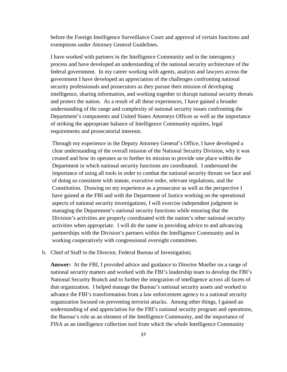before the Foreign Intelligence Surveillance Court and approval of certain functions and exemptions under Attorney General Guidelines.

I have worked with partners in the Intelligence Community and in the interagency process and have developed an understanding of the national security architecture of the federal government. In my career working with agents, analysts and lawyers across the government I have developed an appreciation of the challenges confronting national security professionals and prosecutors as they pursue their mission of developing intelligence, sharing information, and working together to disrupt national security threats and protect the nation. As a result of all these experiences, I have gained a broader understanding of the range and complexity of national security issues confronting the Department's components and United States Attorneys Offices as well as the importance of striking the appropriate balance of Intelligence Community equities, legal requirements and prosecutorial interests.

Through my experience in the Deputy Attorney General's Office, I have developed a clear understanding of the overall mission of the National Security Division, why it was created and how its operates as to further its mission to provide one place within the Department in which national security functions are coordinated. I understand the importance of using all tools in order to combat the national security threats we face and of doing so consistent with statute, executive order, relevant regulations, and the Constitution. Drawing on my experience as a prosecutor as well as the perspective I have gained at the FBI and with the Department of Justice working on the operational aspects of national security investigations, I will exercise independent judgment in managing the Department's national security functions while ensuring that the Division's activities are properly coordinated with the nation's other national security activities when appropriate. I will do the same in providing advice to and advancing partnerships with the Division's partners within the Intelligence Community and in working cooperatively with congressional oversight committees.

b. Chief of Staff to the Director, Federal Bureau of Investigation;

**Answer:** At the FBI, I provided advice and guidance to Director Mueller on a range of national security matters and worked with the FBI's leadership team to develop the FBI's National Security Branch and to further the integration of intelligence across all facets of that organization. I helped manage the Bureau's national security assets and worked to advance the FBI's transformation from a law enforcement agency to a national security organization focused on preventing terrorist attacks. Among other things, I gained an understanding of and appreciation for the FBI's national security program and operations, the Bureau's role as an element of the Intelligence Community, and the importance of FISA as an intelligence collection tool from which the whole Intelligence Community